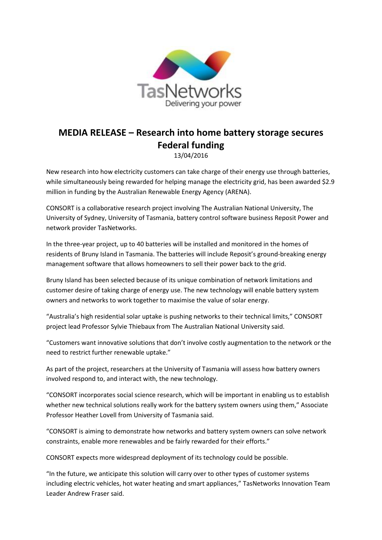

## **MEDIA RELEASE – Research into home battery storage secures Federal funding** 13/04/2016

New research into how electricity customers can take charge of their energy use through batteries, while simultaneously being rewarded for helping manage the electricity grid, has been awarded \$2.9 million in funding by the Australian Renewable Energy Agency (ARENA).

CONSORT is a collaborative research project involving The Australian National University, The University of Sydney, University of Tasmania, battery control software business Reposit Power and network provider TasNetworks.

In the three-year project, up to 40 batteries will be installed and monitored in the homes of residents of Bruny Island in Tasmania. The batteries will include Reposit's ground-breaking energy management software that allows homeowners to sell their power back to the grid.

Bruny Island has been selected because of its unique combination of network limitations and customer desire of taking charge of energy use. The new technology will enable battery system owners and networks to work together to maximise the value of solar energy.

"Australia's high residential solar uptake is pushing networks to their technical limits," CONSORT project lead Professor Sylvie Thiebaux from The Australian National University said.

"Customers want innovative solutions that don't involve costly augmentation to the network or the need to restrict further renewable uptake."

As part of the project, researchers at the University of Tasmania will assess how battery owners involved respond to, and interact with, the new technology.

"CONSORT incorporates social science research, which will be important in enabling us to establish whether new technical solutions really work for the battery system owners using them," Associate Professor Heather Lovell from University of Tasmania said.

"CONSORT is aiming to demonstrate how networks and battery system owners can solve network constraints, enable more renewables and be fairly rewarded for their efforts."

CONSORT expects more widespread deployment of its technology could be possible.

"In the future, we anticipate this solution will carry over to other types of customer systems including electric vehicles, hot water heating and smart appliances," TasNetworks Innovation Team Leader Andrew Fraser said.